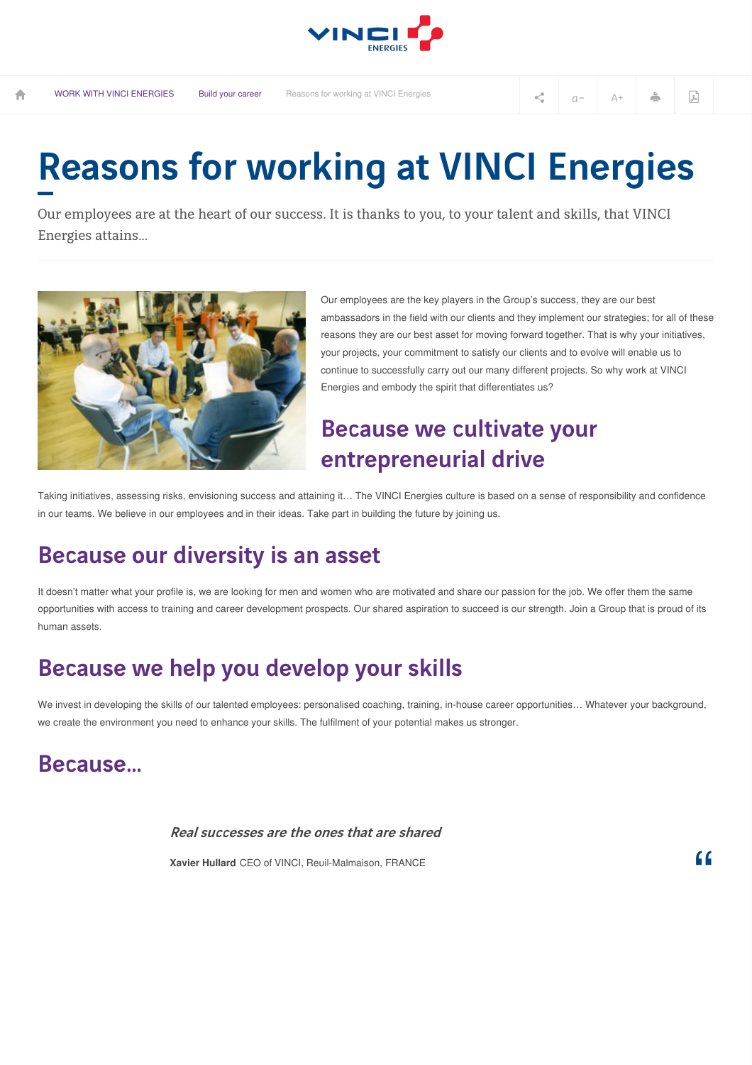

# Reasons for working at VINCI Energies

Our employees are at the heart of our success. It is thanks to you, to your talent and skills, that VINCI Energies attains...



Our employees are the key players in the Group's success, they are our best ambassadors in the field with our clients and they implement our strategies; for all of these reasons they are our best asset for moving forward together. That is why your initiatives, your projects, your commitment to satisfy our clients and to evolve will enable us to continue to successfully carry out our many different projects. So why work at VINCI Energies and embody the spirit that differentiates us?

## Because we cultivate your entrepreneurial drive

Taking initiatives, assessing risks, envisioning success and attaining it… The VINCI Energies culture is based on a sense of responsibility and confidence in our teams. We believe in our employees and in their ideas. Take part in building the future by joining us.

### Because our diversity is an asset

It doesn't matter what your profile is, we are looking for men and women who are motivated and share our passion for the job. We offer them the same opportunities with access to training and career development prospects. Our shared aspiration to succeed is our strength. Join a Group that is proud of its human assets.

## Because we help you develop your skills

We invest in developing the skills of our talented employees: personalised coaching, training, in-house career opportunities... Whatever your background, we create the environment you need to enhance your skills. The fulfilment of your potential makes us stronger.

#### Because…

Real successes are the ones that are shared

**Xavier Hullard** CEO of VINCI, Reuil-Malmaison, FRANCE

"